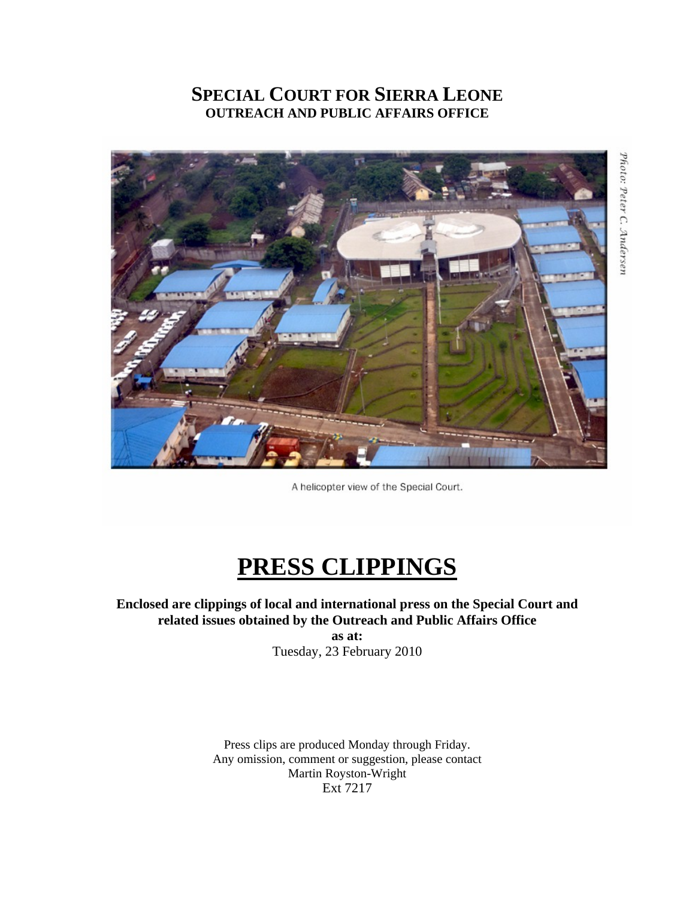# **SPECIAL COURT FOR SIERRA LEONE OUTREACH AND PUBLIC AFFAIRS OFFICE**



Photo: Peter C. Andersen

A helicopter view of the Special Court.

# **PRESS CLIPPINGS**

# **Enclosed are clippings of local and international press on the Special Court and related issues obtained by the Outreach and Public Affairs Office**

**as at:**  Tuesday, 23 February 2010

Press clips are produced Monday through Friday. Any omission, comment or suggestion, please contact Martin Royston-Wright Ext 7217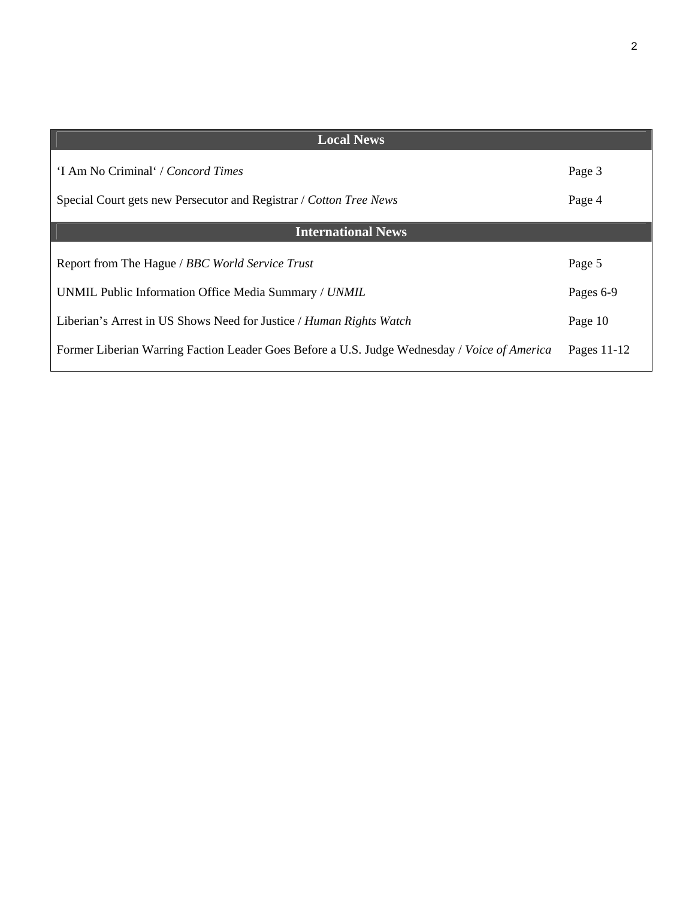| <b>Local News</b>                                                                            |             |
|----------------------------------------------------------------------------------------------|-------------|
| 'I Am No Criminal' / Concord Times                                                           | Page 3      |
| Special Court gets new Persecutor and Registrar / Cotton Tree News                           | Page 4      |
| <b>International News</b>                                                                    |             |
| Report from The Hague / BBC World Service Trust                                              | Page 5      |
| UNMIL Public Information Office Media Summary / UNMIL                                        | Pages 6-9   |
| Liberian's Arrest in US Shows Need for Justice / Human Rights Watch                          | Page 10     |
| Former Liberian Warring Faction Leader Goes Before a U.S. Judge Wednesday / Voice of America | Pages 11-12 |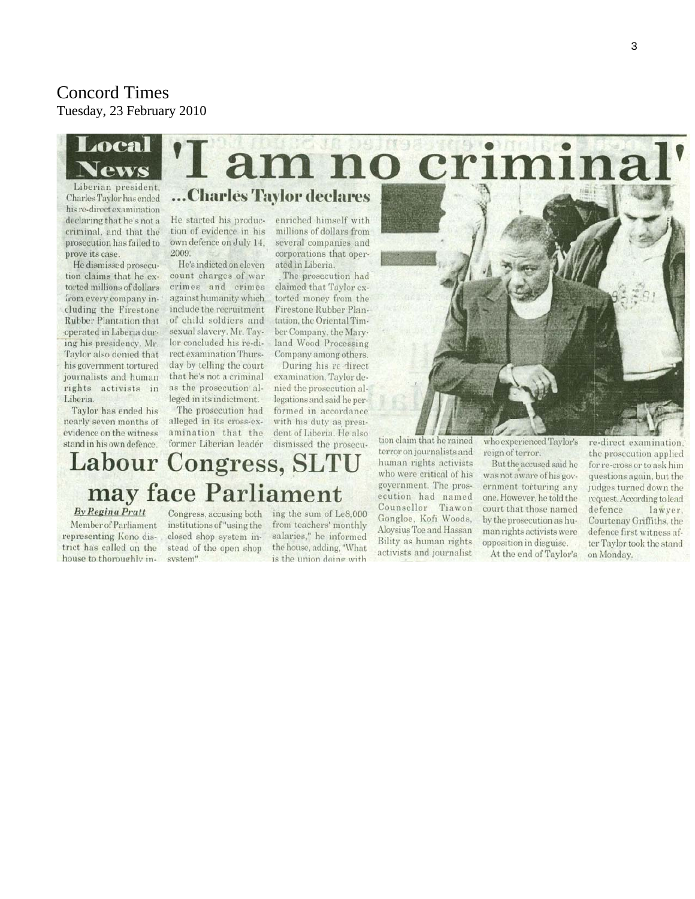### Concord Times Tuesday, 23 February 2010



Liberian president. Charles Taylor has ended his re-direct examination declaring that he's not a criminal, and that the prosecution has failed to prove its case.

He dismissed prosecution claims that he extorted millions of dollars from every company including the Firestone **Rubber Plantation that** operated in Liberia during his presidency. Mr. Taylor also denied that his government tortured journalists and human rights activists in Liberia.

Taylor has ended his nearly seven months of evidence on the witness stand in his own defence.

**By Regina Pratt** 

representing Kono dis-

trict has called on the

house to thoroughly in-

Member of Parliament

# ...Charles Taylor declares

He started his production of evidence in his own defence on July 14. 2009.

He's indicted on eleven count charges of war crimes and crimes against humanity which. include the recruitment of child soldiers and sexual slavery. Mr. Taylor concluded his re-direct examination Thursday by telling the court that he's not a criminal as the prosecution alleged in its indictment.

The prosecution had alleged in its cross-examination that the former Liberian leader

**Labour Congress, SLTU** 

may face Parliament

Congress, accusing both

institutions of "using the

closed shop system in-

stead of the open shop

system"

enriched himself with millions of dollars from several companies and corporations that operated in Liberia.

The prosecution had claimed that Taylor extorted money from the Firestone Rubber Plantation, the Oriental Timber Company, the Maryland Wood Processing Company among others.

During his re-direct examination. Taylor denied the prosecution allegations and said he performed in accordance with his duty as president of Liberia. He also dismissed the prosecu-

ing the sum of Le8.000

from teachers' monthly

salaries," he informed

the house, adding, "What

is the union doing with

tion claim that he rained terror on journalists and human rights activists who were critical of his government. The prosecution had named Counsellor Tiawon Gongloe, Kofi Woods, Aloysius Toe and Hassan Bility as human rights activists and journalist

who experienced Taylor's reign of terror.

But the accused said he was not aware of his government torturing any one. However, he told the court that those named by the prosecution as human rights activists were opposition in disguise.

At the end of Taylor's

re-direct examination. the prosecution applied for re-cross or to ask him questions again, but the judges turned down the request. According to lead defence lawyer. Courtenay Griffiths, the defence first witness after Taylor took the stand on Monday.

no crin **OOL**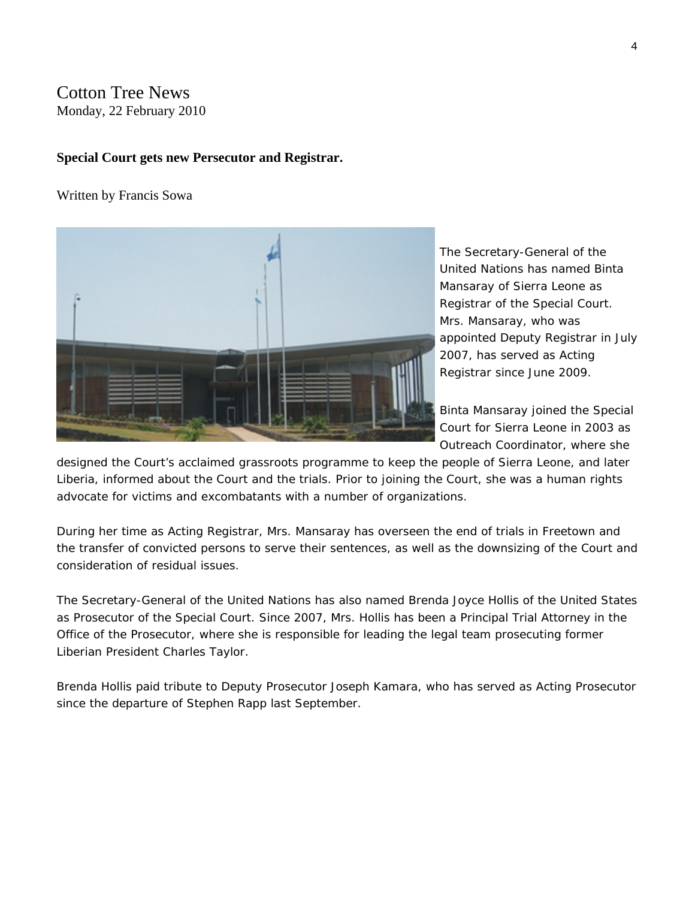#### Cotton Tree News Monday, 22 February 2010

#### **Special Court gets new Persecutor and Registrar.**

#### Written by Francis Sowa



The Secretary-General of the United Nations has named Binta Mansaray of Sierra Leone as Registrar of the Special Court. Mrs. Mansaray, who was appointed Deputy Registrar in J uly 2007, has served as Acting Registrar since June 2009.

Binta Mansaray joined the Special Court for Sierra Leone in 2003 as Outreach Coordinator, where she

designed the Court's acclaimed grassroots programme to keep the people of Sierra Leone, and later Liberia, informed about the Court and the trials. Prior to joining the Court, she was a human rights advocate for victims and excombatants with a number of organizations.

During her time as Acting Registrar, Mrs. Mansaray has overseen the end of trials in Freetown and the transfer of convicted persons to serve their sentences, as well as the downsizing of the Court and consideration of residual issues.

The Secretary-General of the United Nations has also named Brenda Joyce Hollis of the United States as Prosecutor of the Special Court. Since 2007, Mrs. Hollis has been a Principal Trial Attorney in the Office of the Prosecutor, where she is responsible for leading the legal team prosecuting former Liberian President Charles Taylor.

Brenda Hollis paid tribute to Deputy Prosecutor Joseph Kamara, who has served as Acting Prosecutor since the departure of Stephen Rapp last September.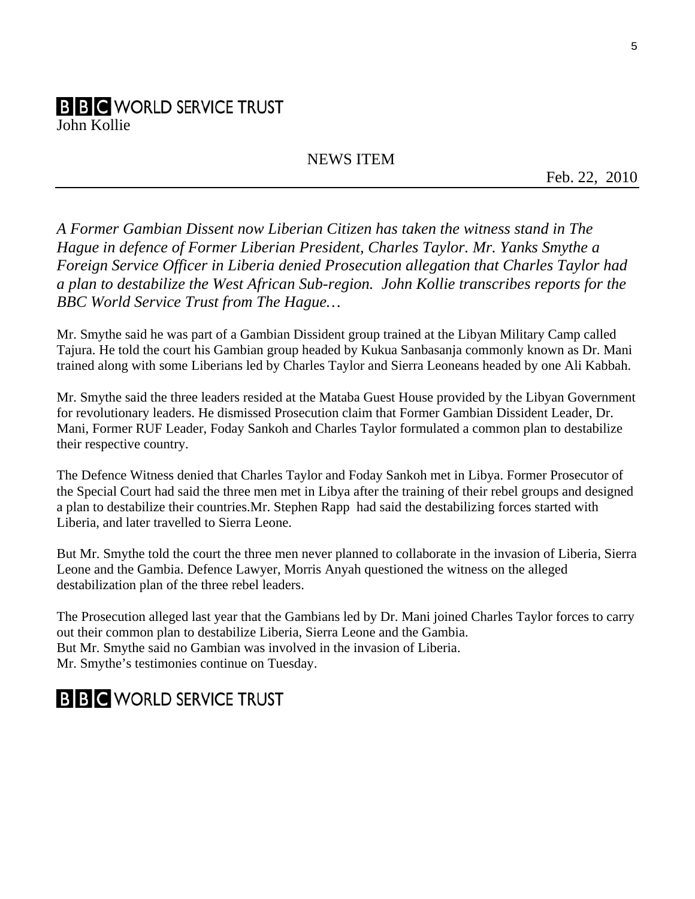# **B B C** WORLD SERVICE TRUST

John Kollie

# NEWS ITEM

Feb. 22, 2010

*A Former Gambian Dissent now Liberian Citizen has taken the witness stand in The Hague in defence of Former Liberian President, Charles Taylor. Mr. Yanks Smythe a Foreign Service Officer in Liberia denied Prosecution allegation that Charles Taylor had a plan to destabilize the West African Sub-region. John Kollie transcribes reports for the BBC World Service Trust from The Hague…* 

Mr. Smythe said he was part of a Gambian Dissident group trained at the Libyan Military Camp called Tajura. He told the court his Gambian group headed by Kukua Sanbasanja commonly known as Dr. Mani trained along with some Liberians led by Charles Taylor and Sierra Leoneans headed by one Ali Kabbah.

Mr. Smythe said the three leaders resided at the Mataba Guest House provided by the Libyan Government for revolutionary leaders. He dismissed Prosecution claim that Former Gambian Dissident Leader, Dr. Mani, Former RUF Leader, Foday Sankoh and Charles Taylor formulated a common plan to destabilize their respective country.

The Defence Witness denied that Charles Taylor and Foday Sankoh met in Libya. Former Prosecutor of the Special Court had said the three men met in Libya after the training of their rebel groups and designed a plan to destabilize their countries.Mr. Stephen Rapp had said the destabilizing forces started with Liberia, and later travelled to Sierra Leone.

But Mr. Smythe told the court the three men never planned to collaborate in the invasion of Liberia, Sierra Leone and the Gambia. Defence Lawyer, Morris Anyah questioned the witness on the alleged destabilization plan of the three rebel leaders.

The Prosecution alleged last year that the Gambians led by Dr. Mani joined Charles Taylor forces to carry out their common plan to destabilize Liberia, Sierra Leone and the Gambia. But Mr. Smythe said no Gambian was involved in the invasion of Liberia. Mr. Smythe's testimonies continue on Tuesday.

# **B B C** WORLD SERVICE TRUST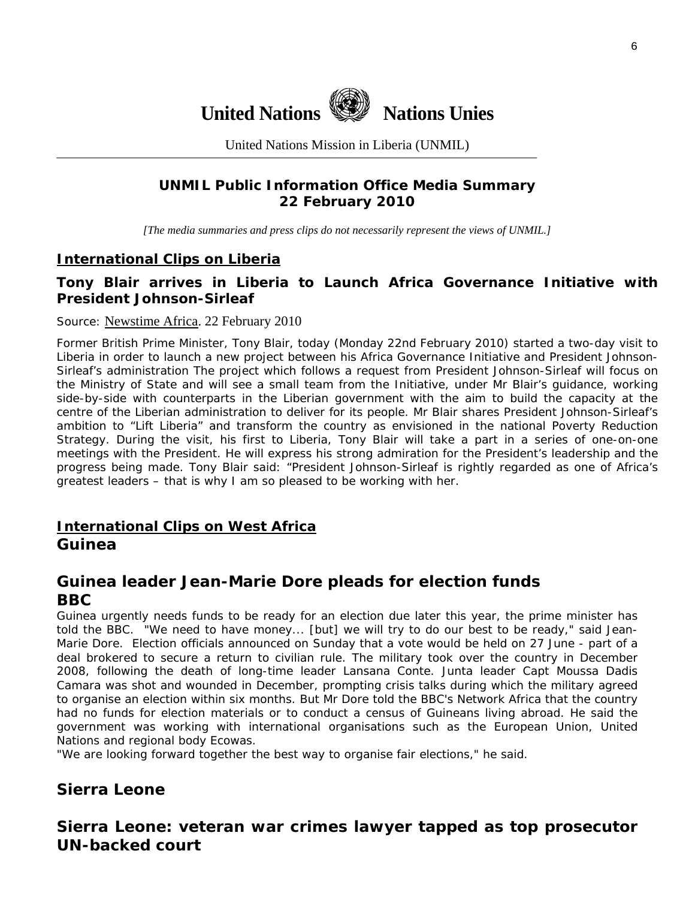

United Nations Mission in Liberia (UNMIL)

# **UNMIL Public Information Office Media Summary 22 February 2010**

*[The media summaries and press clips do not necessarily represent the views of UNMIL.]* 

#### **International Clips on Liberia**

## **Tony Blair arrives in Liberia to Launch Africa Governance Initiative with President Johnson-Sirleaf**

#### Source: [Newstime Africa.](http://www.newstimeafrica.com/) 22 February 2010

Former British Prime Minister, Tony Blair, today (Monday 22nd February 2010) started a two-day visit to Liberia in order to launch a new project between his Africa Governance Initiative and President Johnson-Sirleaf's administration The project which follows a request from President Johnson-Sirleaf will focus on the Ministry of State and will see a small team from the Initiative, under Mr Blair's guidance, working side-by-side with counterparts in the Liberian government with the aim to build the capacity at the centre of the Liberian administration to deliver for its people. Mr Blair shares President Johnson-Sirleaf's ambition to "Lift Liberia" and transform the country as envisioned in the national Poverty Reduction Strategy. During the visit, his first to Liberia, Tony Blair will take a part in a series of one-on-one meetings with the President. He will express his strong admiration for the President's leadership and the progress being made. Tony Blair said: "President Johnson-Sirleaf is rightly regarded as one of Africa's greatest leaders – that is why I am so pleased to be working with her.

## **International Clips on West Africa Guinea**

# **Guinea leader Jean-Marie Dore pleads for election funds BBC**

Guinea urgently needs funds to be ready for an election due later this year, the prime minister has told the BBC. "We need to have money... [but] we will try to do our best to be ready," said Jean-Marie Dore. Election officials announced on Sunday that a vote would be held on 27 June - part of a deal brokered to secure a return to civilian rule. The military took over the country in December 2008, following the death of long-time leader Lansana Conte. Junta leader Capt Moussa Dadis Camara was shot and wounded in December, prompting crisis talks during which the military agreed to organise an election within six months. But Mr Dore told the BBC's Network Africa that the country had no funds for election materials or to conduct a census of Guineans living abroad. He said the government was working with international organisations such as the European Union, United Nations and regional body Ecowas.

"We are looking forward together the best way to organise fair elections," he said.

## **Sierra Leone**

**Sierra Leone: veteran war crimes lawyer tapped as top prosecutor UN-backed court**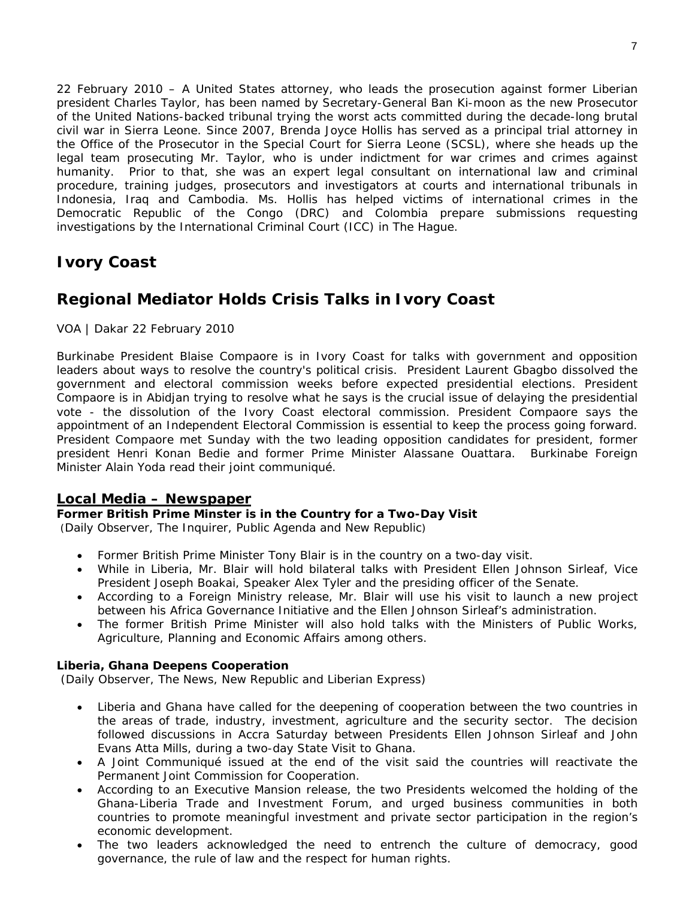22 February 2010 – A United States attorney, who leads the prosecution against former Liberian president Charles Taylor, has been named by Secretary-General Ban Ki-moon as the new Prosecutor of the United Nations-backed tribunal trying the worst acts committed during the decade-long brutal civil war in Sierra Leone. Since 2007, Brenda Joyce Hollis has served as a principal trial attorney in the Office of the Prosecutor in the Special Court for Sierra Leone (SCSL), where she heads up the legal team prosecuting Mr. Taylor, who is under indictment for war crimes and crimes against humanity. Prior to that, she was an expert legal consultant on international law and criminal procedure, training judges, prosecutors and investigators at courts and international tribunals in Indonesia, Iraq and Cambodia. Ms. Hollis has helped victims of international crimes in the Democratic Republic of the Congo (DRC) and Colombia prepare submissions requesting investigations by the International Criminal Court (ICC) in The Hague.

# **Ivory Coast**

# **Regional Mediator Holds Crisis Talks in Ivory Coast**

VOA | Dakar 22 February 2010

Burkinabe President Blaise Compaore is in Ivory Coast for talks with government and opposition leaders about ways to resolve the country's political crisis. President Laurent Gbagbo dissolved the government and electoral commission weeks before expected presidential elections. President Compaore is in Abidjan trying to resolve what he says is the crucial issue of delaying the presidential vote - the dissolution of the Ivory Coast electoral commission. President Compaore says the appointment of an Independent Electoral Commission is essential to keep the process going forward. President Compaore met Sunday with the two leading opposition candidates for president, former president Henri Konan Bedie and former Prime Minister Alassane Ouattara. Burkinabe Foreign Minister Alain Yoda read their joint communiqué.

#### **Local Media – Newspaper**

#### **Former British Prime Minster is in the Country for a Two-Day Visit**

(Daily Observer, The Inquirer, Public Agenda and New Republic)

- Former British Prime Minister Tony Blair is in the country on a two-day visit.
- While in Liberia, Mr. Blair will hold bilateral talks with President Ellen Johnson Sirleaf, Vice President Joseph Boakai, Speaker Alex Tyler and the presiding officer of the Senate.
- According to a Foreign Ministry release, Mr. Blair will use his visit to launch a new project between his Africa Governance Initiative and the Ellen Johnson Sirleaf's administration.
- The former British Prime Minister will also hold talks with the Ministers of Public Works, Agriculture, Planning and Economic Affairs among others.

#### **Liberia, Ghana Deepens Cooperation**

(Daily Observer, The News, New Republic and Liberian Express)

- Liberia and Ghana have called for the deepening of cooperation between the two countries in the areas of trade, industry, investment, agriculture and the security sector. The decision followed discussions in Accra Saturday between Presidents Ellen Johnson Sirleaf and John Evans Atta Mills, during a two-day State Visit to Ghana.
- A Joint Communiqué issued at the end of the visit said the countries will reactivate the Permanent Joint Commission for Cooperation.
- According to an Executive Mansion release, the two Presidents welcomed the holding of the Ghana-Liberia Trade and Investment Forum, and urged business communities in both countries to promote meaningful investment and private sector participation in the region's economic development.
- The two leaders acknowledged the need to entrench the culture of democracy, good governance, the rule of law and the respect for human rights.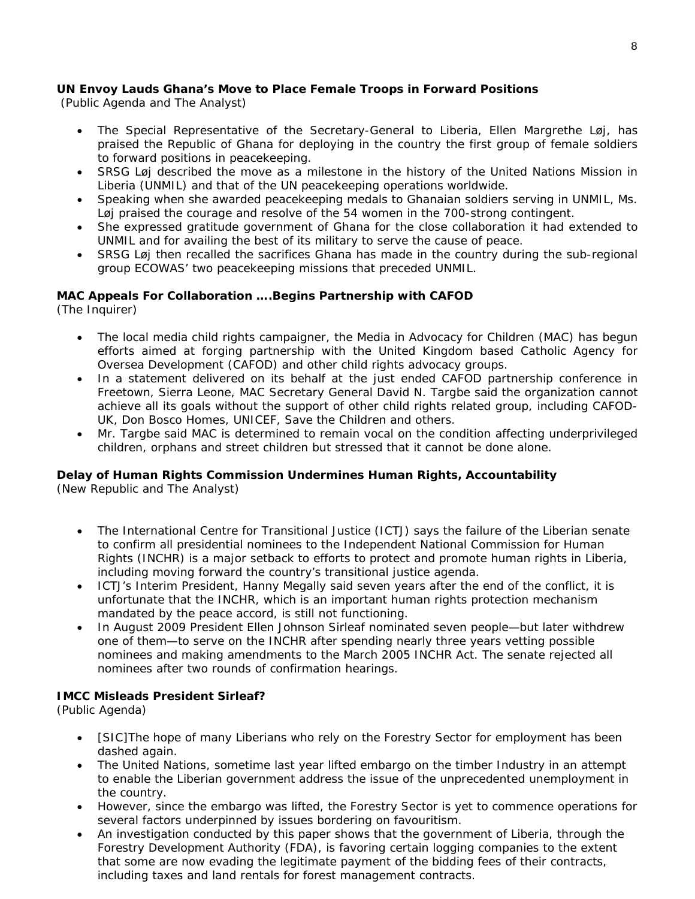#### **UN Envoy Lauds Ghana's Move to Place Female Troops in Forward Positions**

(Public Agenda and The Analyst)

- The Special Representative of the Secretary-General to Liberia, Ellen Margrethe Løj, has praised the Republic of Ghana for deploying in the country the first group of female soldiers to forward positions in peacekeeping.
- SRSG Løj described the move as a milestone in the history of the United Nations Mission in Liberia (UNMIL) and that of the UN peacekeeping operations worldwide.
- Speaking when she awarded peacekeeping medals to Ghanaian soldiers serving in UNMIL, Ms. Løj praised the courage and resolve of the 54 women in the 700-strong contingent.
- She expressed gratitude government of Ghana for the close collaboration it had extended to UNMIL and for availing the best of its military to serve the cause of peace.
- SRSG Løj then recalled the sacrifices Ghana has made in the country during the sub-regional group ECOWAS' two peacekeeping missions that preceded UNMIL.

#### **MAC Appeals For Collaboration ….Begins Partnership with CAFOD**

(The Inquirer)

- The local media child rights campaigner, the Media in Advocacy for Children (MAC) has begun efforts aimed at forging partnership with the United Kingdom based Catholic Agency for Oversea Development (CAFOD) and other child rights advocacy groups.
- In a statement delivered on its behalf at the just ended CAFOD partnership conference in Freetown, Sierra Leone, MAC Secretary General David N. Targbe said the organization cannot achieve all its goals without the support of other child rights related group, including CAFOD-UK, Don Bosco Homes, UNICEF, Save the Children and others.
- Mr. Targbe said MAC is determined to remain vocal on the condition affecting underprivileged children, orphans and street children but stressed that it cannot be done alone.

#### **Delay of Human Rights Commission Undermines Human Rights, Accountability**

(New Republic and The Analyst)

- The International Centre for Transitional Justice (ICTJ) says the failure of the Liberian senate to confirm all presidential nominees to the Independent National Commission for Human Rights (INCHR) is a major setback to efforts to protect and promote human rights in Liberia, including moving forward the country's transitional justice agenda.
- ICTJ's Interim President, Hanny Megally said seven years after the end of the conflict, it is unfortunate that the INCHR, which is an important human rights protection mechanism mandated by the peace accord, is still not functioning.
- In August 2009 President Ellen Johnson Sirleaf nominated seven people—but later withdrew one of them—to serve on the INCHR after spending nearly three years vetting possible nominees and making amendments to the March 2005 INCHR Act. The senate rejected all nominees after two rounds of confirmation hearings.

#### **IMCC Misleads President Sirleaf?**

(Public Agenda)

- [SIC]The hope of many Liberians who rely on the Forestry Sector for employment has been dashed again.
- The United Nations, sometime last year lifted embargo on the timber Industry in an attempt to enable the Liberian government address the issue of the unprecedented unemployment in the country.
- However, since the embargo was lifted, the Forestry Sector is yet to commence operations for several factors underpinned by issues bordering on favouritism.
- An investigation conducted by this paper shows that the government of Liberia, through the Forestry Development Authority (FDA), is favoring certain logging companies to the extent that some are now evading the legitimate payment of the bidding fees of their contracts, including taxes and land rentals for forest management contracts.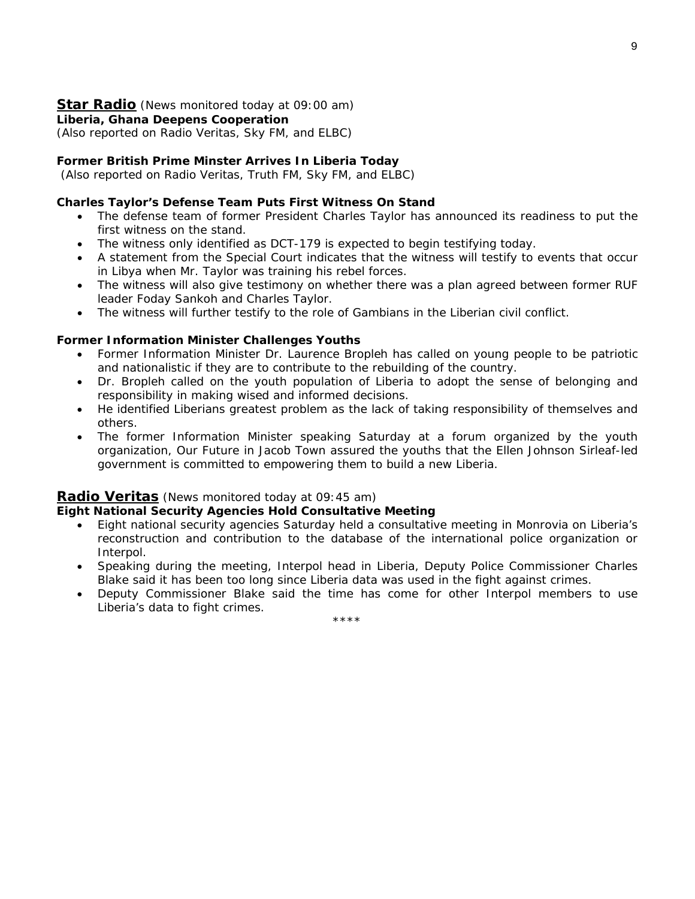#### **Star Radio** *(News monitored today at 09:00 am)*

**Liberia, Ghana Deepens Cooperation** 

*(Also reported on Radio Veritas, Sky FM, and ELBC)*

#### **Former British Prime Minster Arrives In Liberia Today**

 *(Also reported on Radio Veritas, Truth FM, Sky FM, and ELBC)* 

#### **Charles Taylor's Defense Team Puts First Witness On Stand**

- The defense team of former President Charles Taylor has announced its readiness to put the first witness on the stand.
- The witness only identified as DCT-179 is expected to begin testifying today.
- A statement from the Special Court indicates that the witness will testify to events that occur in Libya when Mr. Taylor was training his rebel forces.
- The witness will also give testimony on whether there was a plan agreed between former RUF leader Foday Sankoh and Charles Taylor.
- The witness will further testify to the role of Gambians in the Liberian civil conflict.

#### **Former Information Minister Challenges Youths**

- Former Information Minister Dr. Laurence Bropleh has called on young people to be patriotic and nationalistic if they are to contribute to the rebuilding of the country.
- Dr. Bropleh called on the youth population of Liberia to adopt the sense of belonging and responsibility in making wised and informed decisions.
- He identified Liberians greatest problem as the lack of taking responsibility of themselves and others.
- The former Information Minister speaking Saturday at a forum organized by the youth organization, Our Future in Jacob Town assured the youths that the Ellen Johnson Sirleaf-led government is committed to empowering them to build a new Liberia.

#### **Radio Veritas** *(News monitored today at 09:45 am)*

#### **Eight National Security Agencies Hold Consultative Meeting**

- Eight national security agencies Saturday held a consultative meeting in Monrovia on Liberia's reconstruction and contribution to the database of the international police organization or Interpol.
- Speaking during the meeting, Interpol head in Liberia, Deputy Police Commissioner Charles Blake said it has been too long since Liberia data was used in the fight against crimes.
- Deputy Commissioner Blake said the time has come for other Interpol members to use Liberia's data to fight crimes.

\*\*\*\*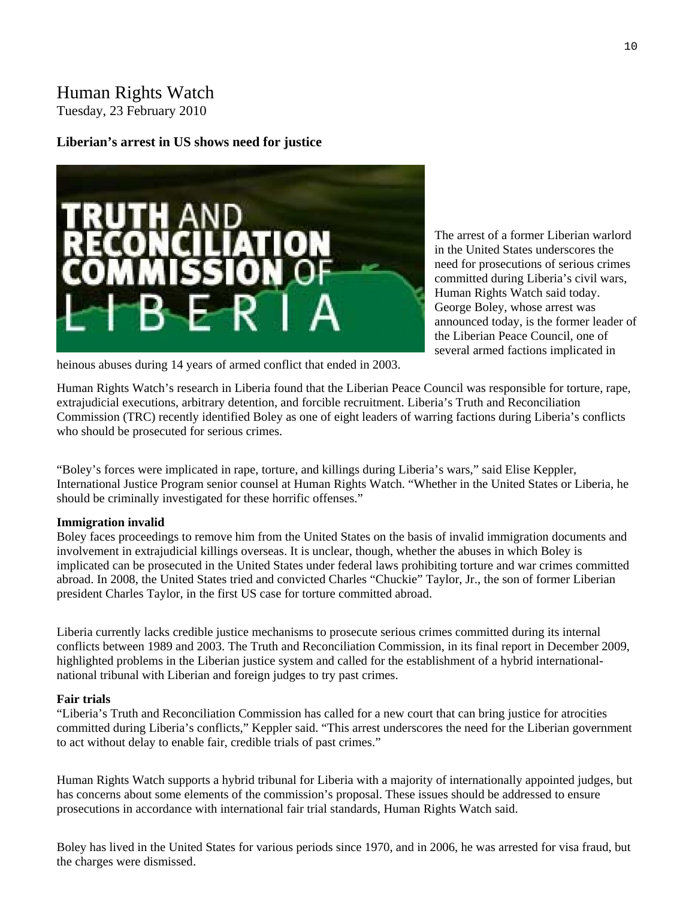# Human Rights Watch

Tuesday, 23 February 2010

#### **Liberian's arrest in US shows need for justice**



The arrest of a former Liberian warlord in the United States underscores the need for prosecutions of serious crimes committed during Liberia's civil wars, Human Rights Watch said today. George Boley, whose arrest was announced today, is the former leader o f the Liberian Peace Council, one of several armed factions implicated in

heinous abuses during 14 years of armed conflict that ended in 2003.

Human Rights Watch's research in Liberia found that the Liberian Peace Council was responsible for torture, rape, extrajudicial executions, arbitrary detention, and forcible recruitment. Liberia's Truth and Reconciliation Commission (TRC) recently identified Boley as one of eight leaders of warring factions during Liberia's conflicts who should be prosecuted for serious crimes.

"Boley's forces were implicated in rape, torture, and killings during Liberia's wars," said Elise Keppler, International Justice Program senior counsel at Human Rights Watch. "Whether in the United States or Liberia, he should be criminally investigated for these horrific offenses."

#### **Immigration invalid**

Boley faces proceedings to remove him from the United States on the basis of invalid immigration documents and involvement in extrajudicial killings overseas. It is unclear, though, whether the abuses in which Boley is implicated can be prosecuted in the United States under federal laws prohibiting torture and war crimes committed abroad. In 2008, the United States tried and convicted Charles "Chuckie" Taylor, Jr., the son of former Liberian president Charles Taylor, in the first US case for torture committed abroad.

Liberia currently lacks credible justice mechanisms to prosecute serious crimes committed during its internal conflicts between 1989 and 2003. The Truth and Reconciliation Commission, in its final report in December 2009, highlighted problems in the Liberian justice system and called for the establishment of a hybrid internationalnational tribunal with Liberian and foreign judges to try past crimes.

#### **Fair trials**

"Liberia's Truth and Reconciliation Commission has called for a new court that can bring justice for atrocities committed during Liberia's conflicts," Keppler said. "This arrest underscores the need for the Liberian government to act without delay to enable fair, credible trials of past crimes."

Human Rights Watch supports a hybrid tribunal for Liberia with a majority of internationally appointed judges, but has concerns about some elements of the commission's proposal. These issues should be addressed to ensure prosecutions in accordance with international fair trial standards, Human Rights Watch said.

Boley has lived in the United States for various periods since 1970, and in 2006, he was arrested for visa fraud, but the charges were dismissed.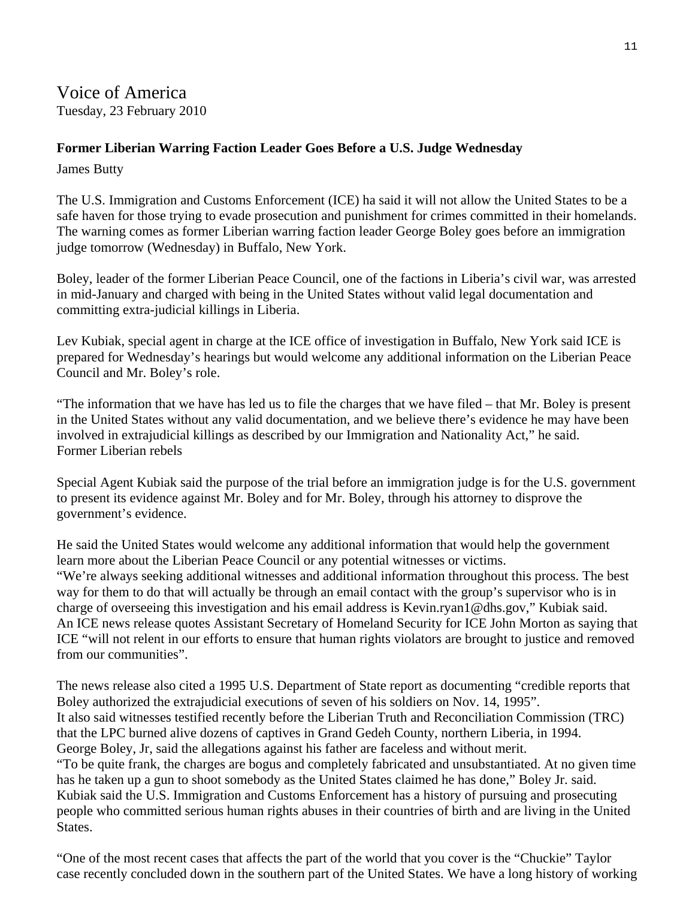Voice of America Tuesday, 23 February 2010

#### **Former Liberian Warring Faction Leader Goes Before a U.S. Judge Wednesday**

James Butty

The U.S. Immigration and Customs Enforcement (ICE) ha said it will not allow the United States to be a safe haven for those trying to evade prosecution and punishment for crimes committed in their homelands. The warning comes as former Liberian warring faction leader George Boley goes before an immigration judge tomorrow (Wednesday) in Buffalo, New York.

Boley, leader of the former Liberian Peace Council, one of the factions in Liberia's civil war, was arrested in mid-January and charged with being in the United States without valid legal documentation and committing extra-judicial killings in Liberia.

Lev Kubiak, special agent in charge at the ICE office of investigation in Buffalo, New York said ICE is prepared for Wednesday's hearings but would welcome any additional information on the Liberian Peace Council and Mr. Boley's role.

"The information that we have has led us to file the charges that we have filed – that Mr. Boley is present in the United States without any valid documentation, and we believe there's evidence he may have been involved in extrajudicial killings as described by our Immigration and Nationality Act," he said. Former Liberian rebels

Special Agent Kubiak said the purpose of the trial before an immigration judge is for the U.S. government to present its evidence against Mr. Boley and for Mr. Boley, through his attorney to disprove the government's evidence.

He said the United States would welcome any additional information that would help the government learn more about the Liberian Peace Council or any potential witnesses or victims. "We're always seeking additional witnesses and additional information throughout this process. The best way for them to do that will actually be through an email contact with the group's supervisor who is in charge of overseeing this investigation and his email address is Kevin.ryan1@dhs.gov," Kubiak said. An ICE news release quotes Assistant Secretary of Homeland Security for ICE John Morton as saying that ICE "will not relent in our efforts to ensure that human rights violators are brought to justice and removed from our communities".

The news release also cited a 1995 U.S. Department of State report as documenting "credible reports that Boley authorized the extrajudicial executions of seven of his soldiers on Nov. 14, 1995". It also said witnesses testified recently before the Liberian Truth and Reconciliation Commission (TRC) that the LPC burned alive dozens of captives in Grand Gedeh County, northern Liberia, in 1994. George Boley, Jr, said the allegations against his father are faceless and without merit. "To be quite frank, the charges are bogus and completely fabricated and unsubstantiated. At no given time has he taken up a gun to shoot somebody as the United States claimed he has done," Boley Jr. said. Kubiak said the U.S. Immigration and Customs Enforcement has a history of pursuing and prosecuting people who committed serious human rights abuses in their countries of birth and are living in the United States.

"One of the most recent cases that affects the part of the world that you cover is the "Chuckie" Taylor case recently concluded down in the southern part of the United States. We have a long history of working